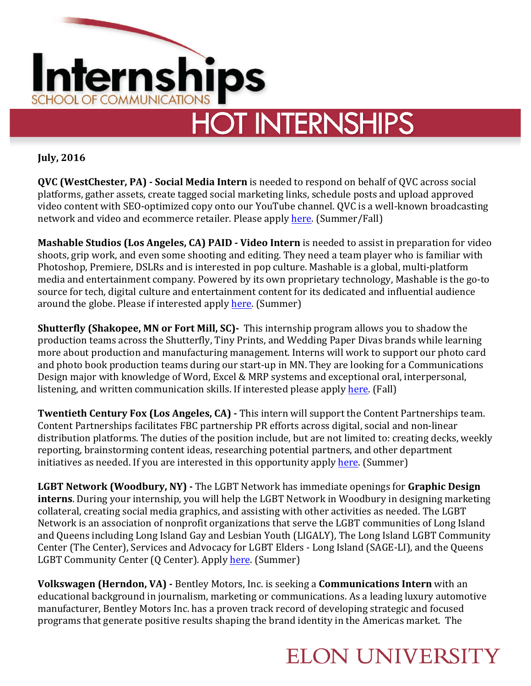

**July, 2016** 

**QVC (WestChester, PA) - Social Media Intern** is needed to respond on behalf of QVC across social platforms, gather assets, create tagged social marketing links, schedule posts and upload approved video content with SEO-optimized copy onto our YouTube channel. QVC is a well-known broadcasting network and video and ecommerce retailer. Please apply here. (Summer/Fall)

**Mashable Studios (Los Angeles, CA) PAID - Video Intern** is needed to assist in preparation for video shoots, grip work, and even some shooting and editing. They need a team player who is familiar with Photoshop, Premiere, DSLRs and is interested in pop culture. Mashable is a global, multi-platform media and entertainment company. Powered by its own proprietary technology, Mashable is the go-to source for tech, digital culture and entertainment content for its dedicated and influential audience around the globe. Please if interested apply here. (Summer)

**Shutterfly (Shakopee, MN or Fort Mill, SC)-** This internship program allows you to shadow the production teams across the Shutterfly, Tiny Prints, and Wedding Paper Divas brands while learning more about production and manufacturing management. Interns will work to support our photo card and photo book production teams during our start-up in MN. They are looking for a Communications Design major with knowledge of Word, Excel & MRP systems and exceptional oral, interpersonal, listening, and written communication skills. If interested please apply here. (Fall)

**Twentieth Century Fox (Los Angeles, CA) -** This intern will support the Content Partnerships team. Content Partnerships facilitates FBC partnership PR efforts across digital, social and non-linear distribution platforms. The duties of the position include, but are not limited to: creating decks, weekly reporting, brainstorming content ideas, researching potential partners, and other department initiatives as needed. If you are interested in this opportunity apply here. (Summer)

**LGBT Network (Woodbury, NY)** - The LGBT Network has immediate openings for Graphic Design **interns**. During your internship, you will help the LGBT Network in Woodbury in designing marketing collateral, creating social media graphics, and assisting with other activities as needed. The LGBT Network is an association of nonprofit organizations that serve the LGBT communities of Long Island and Queens including Long Island Gay and Lesbian Youth (LIGALY), The Long Island LGBT Community Center (The Center), Services and Advocacy for LGBT Elders - Long Island (SAGE-LI), and the Queens LGBT Community Center (Q Center). Apply here. (Summer)

**Volkswagen (Herndon, VA)** - Bentley Motors, Inc. is seeking a **Communications Intern** with an educational background in journalism, marketing or communications. As a leading luxury automotive manufacturer, Bentley Motors Inc. has a proven track record of developing strategic and focused programs that generate positive results shaping the brand identity in the Americas market. The

## **ELON UNIVERSITY**